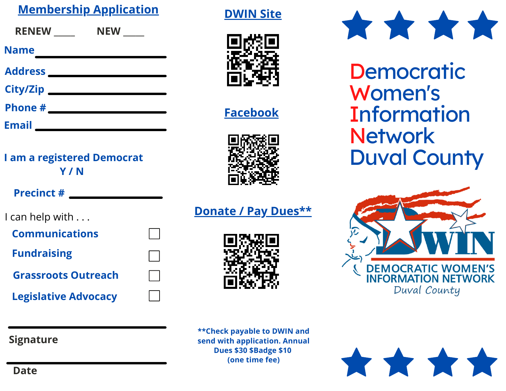## **Membership Application**

| <b>RENEW</b>    | <b>NEW</b> |
|-----------------|------------|
| <b>Name</b>     |            |
| <b>Address</b>  |            |
| <b>City/Zip</b> |            |
| Phone #         |            |
| <b>Email</b>    |            |

## **I am a registered Democrat Y / N**

#### **Precinct #**

I can help with . . .

| <b>Communications</b> |  |
|-----------------------|--|
|                       |  |

**Fundraising**

**Grassroots Outreach**

**Legislative Advocacy**



**Donate / Pay Dues\*\***

**DWIN Site**

**Facebook**

**\*\*Check payable to DWIN and send with application. Annual Dues \$30 \$Badge \$10 (one time fee)**



**Democratic** Women's **Information Network** Duval County



\*\*\*\*

#### **Signature**

**Date**